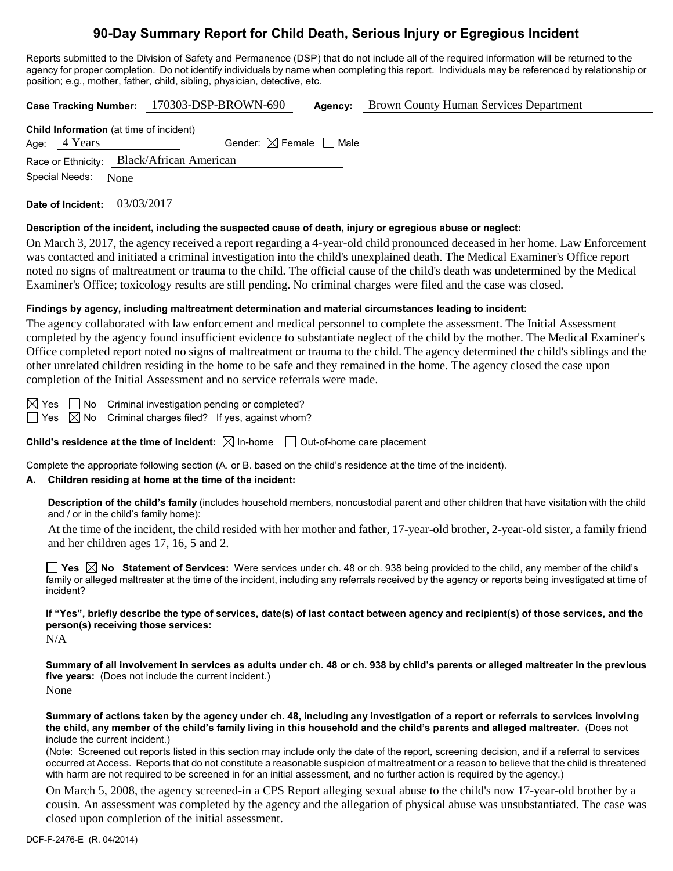# **90-Day Summary Report for Child Death, Serious Injury or Egregious Incident**

Reports submitted to the Division of Safety and Permanence (DSP) that do not include all of the required information will be returned to the agency for proper completion. Do not identify individuals by name when completing this report. Individuals may be referenced by relationship or position; e.g., mother, father, child, sibling, physician, detective, etc.

| Case Tracking Number: 170303-DSP-BROWN-690 | <b>Agency:</b> Brown County Human Services Department |
|--------------------------------------------|-------------------------------------------------------|
|                                            |                                                       |

| <b>Child Information</b> (at time of incident) |                     |                                        |  |  |  |  |
|------------------------------------------------|---------------------|----------------------------------------|--|--|--|--|
|                                                | Age: $4$ Years      | Gender: $\boxtimes$ Female $\Box$ Male |  |  |  |  |
| Race or Ethnicity: Black/African American      |                     |                                        |  |  |  |  |
|                                                | Special Needs: None |                                        |  |  |  |  |
|                                                |                     |                                        |  |  |  |  |

**Date of Incident:** 03/03/2017

### **Description of the incident, including the suspected cause of death, injury or egregious abuse or neglect:**

On March 3, 2017, the agency received a report regarding a 4-year-old child pronounced deceased in her home. Law Enforcement was contacted and initiated a criminal investigation into the child's unexplained death. The Medical Examiner's Office report noted no signs of maltreatment or trauma to the child. The official cause of the child's death was undetermined by the Medical Examiner's Office; toxicology results are still pending. No criminal charges were filed and the case was closed.

### **Findings by agency, including maltreatment determination and material circumstances leading to incident:**

The agency collaborated with law enforcement and medical personnel to complete the assessment. The Initial Assessment completed by the agency found insufficient evidence to substantiate neglect of the child by the mother. The Medical Examiner's Office completed report noted no signs of maltreatment or trauma to the child. The agency determined the child's siblings and the other unrelated children residing in the home to be safe and they remained in the home. The agency closed the case upon completion of the Initial Assessment and no service referrals were made.

 $\boxtimes$  Yes  $\Box$  No Criminal investigation pending or completed?

 $\Box$  Yes  $\boxtimes$  No Criminal charges filed? If yes, against whom?

**Child's residence at the time of incident:**  $\boxtimes$  In-home  $\Box$  Out-of-home care placement

Complete the appropriate following section (A. or B. based on the child's residence at the time of the incident).

# **A. Children residing at home at the time of the incident:**

**Description of the child's family** (includes household members, noncustodial parent and other children that have visitation with the child and / or in the child's family home):

At the time of the incident, the child resided with her mother and father, 17-year-old brother, 2-year-old sister, a family friend and her children ages 17, 16, 5 and 2.

■ Yes △ No Statement of Services: Were services under ch. 48 or ch. 938 being provided to the child, any member of the child's family or alleged maltreater at the time of the incident, including any referrals received by the agency or reports being investigated at time of incident?

**If "Yes", briefly describe the type of services, date(s) of last contact between agency and recipient(s) of those services, and the person(s) receiving those services:**

 $N/A$ 

**Summary of all involvement in services as adults under ch. 48 or ch. 938 by child's parents or alleged maltreater in the previous five years:** (Does not include the current incident.) None

**Summary of actions taken by the agency under ch. 48, including any investigation of a report or referrals to services involving the child, any member of the child's family living in this household and the child's parents and alleged maltreater.** (Does not include the current incident.)

(Note: Screened out reports listed in this section may include only the date of the report, screening decision, and if a referral to services occurred at Access. Reports that do not constitute a reasonable suspicion of maltreatment or a reason to believe that the child is threatened with harm are not required to be screened in for an initial assessment, and no further action is required by the agency.)

On March 5, 2008, the agency screened-in a CPS Report alleging sexual abuse to the child's now 17-year-old brother by a cousin. An assessment was completed by the agency and the allegation of physical abuse was unsubstantiated. The case was closed upon completion of the initial assessment.